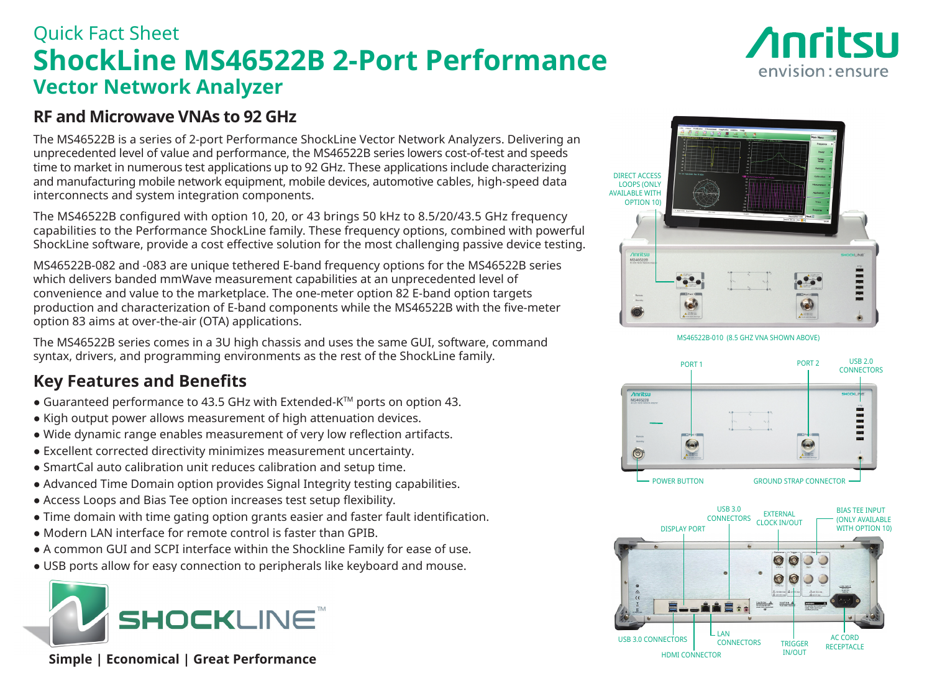## Quick Fact Sheet **ShockLine MS46522B 2-Port Performance Vector Network Analyzer**



## **RF and Microwave VNAs to 92 GHz**

The MS46522B is a series of 2-port Performance ShockLine Vector Network Analyzers. Delivering an unprecedented level of value and performance, the MS46522B series lowers cost-of-test and speeds time to market in numerous test applications up to 92 GHz. These applications include characterizing and manufacturing mobile network equipment, mobile devices, automotive cables, high-speed data interconnects and system integration components.

The MS46522B configured with option 10, 20, or 43 brings 50 kHz to 8.5/20/43.5 GHz frequency capabilities to the Performance ShockLine family. These frequency options, combined with powerful ShockLine software, provide a cost effective solution for the most challenging passive device testing.

MS46522B-082 and -083 are unique tethered E-band frequency options for the MS46522B series which delivers banded mmWave measurement capabilities at an unprecedented level of convenience and value to the marketplace. The one-meter option 82 E-band option targets production and characterization of E-band components while the MS46522B with the five-meter option 83 aims at over-the-air (OTA) applications.

The MS46522B series comes in a 3U high chassis and uses the same GUI, software, command syntax, drivers, and programming environments as the rest of the ShockLine family.

## **Key Features and Benefits**

- Guaranteed performance to 43.5 GHz with Extended-K™ ports on option 43.
- Kigh output power allows measurement of high attenuation devices.
- Wide dynamic range enables measurement of very low reflection artifacts.
- Excellent corrected directivity minimizes measurement uncertainty.
- SmartCal auto calibration unit reduces calibration and setup time.
- Advanced Time Domain option provides Signal Integrity testing capabilities.
- Access Loops and Bias Tee option increases test setup flexibility.
- Time domain with time gating option grants easier and faster fault identification.
- Modern LAN interface for remote control is faster than GPIB.
- A common GUI and SCPI interface within the Shockline Family for ease of use.
- USB ports allow for easy connection to peripherals like keyboard and mouse.



 **Simple | Economical | Great Performance**



MS46522B-010 (8.5 GHZ VNA SHOWN ABOVE)